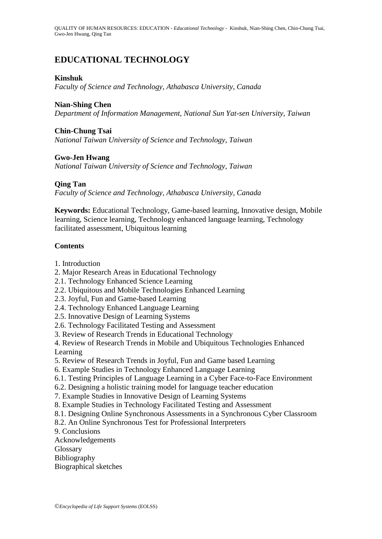QUALITY OF HUMAN RESOURCES: EDUCATION - *Educational Technology* - Kinshuk, Nian-Shing Chen, Chin-Chung Tsai, Gwo-Jen Hwang, Qing Tan

# **EDUCATIONAL TECHNOLOGY**

#### **Kinshuk**

*Faculty of Science and Technology, Athabasca University, Canada*

## **Nian-Shing Chen**

*Department of Information Management, National Sun Yat-sen University, Taiwan*

## **Chin-Chung Tsai**

*National Taiwan University of Science and Technology, Taiwan*

#### **Gwo-Jen Hwang**

*National Taiwan University of Science and Technology, Taiwan*

#### **Qing Tan**

*Faculty of Science and Technology, Athabasca University, Canada*

**Keywords:** Educational Technology, Game-based learning, Innovative design, Mobile learning, Science learning, Technology enhanced language learning, Technology facilitated assessment, Ubiquitous learning

## **Contents**

- 1. Introduction
- 2. Major Research Areas in Educational Technology
- 2.1. Technology Enhanced Science Learning
- 2.2. Ubiquitous and Mobile Technologies Enhanced Learning
- 2.3. Joyful, Fun and Game-based Learning
- 2.4. Technology Enhanced Language Learning
- 2.5. Innovative Design of Learning Systems
- 2.6. Technology Facilitated Testing and Assessment
- 3. Review of Research Trends in Educational Technology
- 4. Review of Research Trends in Mobile and Ubiquitous Technologies Enhanced Learning
- 5. Review of Research Trends in Joyful, Fun and Game based Learning
- 6. Example Studies in Technology Enhanced Language Learning
- 6.1. Testing Principles of Language Learning in a Cyber Face-to-Face Environment
- 6.2. Designing a holistic training model for language teacher education
- 7. Example Studies in Innovative Design of Learning Systems
- 8. Example Studies in Technology Facilitated Testing and Assessment
- 8.1. Designing Online Synchronous Assessments in a Synchronous Cyber Classroom
- 8.2. An Online Synchronous Test for Professional Interpreters

9. Conclusions

- Acknowledgements
- **Glossary**
- Bibliography
- Biographical sketches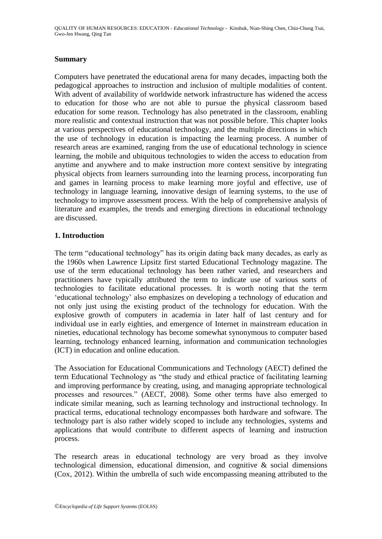QUALITY OF HUMAN RESOURCES: EDUCATION - *Educational Technology* - Kinshuk, Nian-Shing Chen, Chin-Chung Tsai, Gwo-Jen Hwang, Qing Tan

#### **Summary**

Computers have penetrated the educational arena for many decades, impacting both the pedagogical approaches to instruction and inclusion of multiple modalities of content. With advent of availability of worldwide network infrastructure has widened the access to education for those who are not able to pursue the physical classroom based education for some reason. Technology has also penetrated in the classroom, enabling more realistic and contextual instruction that was not possible before. This chapter looks at various perspectives of educational technology, and the multiple directions in which the use of technology in education is impacting the learning process. A number of research areas are examined, ranging from the use of educational technology in science learning, the mobile and ubiquitous technologies to widen the access to education from anytime and anywhere and to make instruction more context sensitive by integrating physical objects from learners surrounding into the learning process, incorporating fun and games in learning process to make learning more joyful and effective, use of technology in language learning, innovative design of learning systems, to the use of technology to improve assessment process. With the help of comprehensive analysis of literature and examples, the trends and emerging directions in educational technology are discussed.

## **1. Introduction**

The term "educational technology" has its origin dating back many decades, as early as the 1960s when Lawrence Lipsitz first started Educational Technology magazine. The use of the term educational technology has been rather varied, and researchers and practitioners have typically attributed the term to indicate use of various sorts of technologies to facilitate educational processes. It is worth noting that the term "educational technology" also emphasizes on developing a technology of education and not only just using the existing product of the technology for education. With the explosive growth of computers in academia in later half of last century and for individual use in early eighties, and emergence of Internet in mainstream education in nineties, educational technology has become somewhat synonymous to computer based learning, technology enhanced learning, information and communication technologies (ICT) in education and online education.

The Association for Educational Communications and Technology (AECT) defined the term Educational Technology as "the study and ethical practice of facilitating learning and improving performance by creating, using, and managing appropriate technological processes and resources." (AECT, 2008). Some other terms have also emerged to indicate similar meaning, such as learning technology and instructional technology. In practical terms, educational technology encompasses both hardware and software. The technology part is also rather widely scoped to include any technologies, systems and applications that would contribute to different aspects of learning and instruction process.

The research areas in educational technology are very broad as they involve technological dimension, educational dimension, and cognitive & social dimensions (Cox, 2012). Within the umbrella of such wide encompassing meaning attributed to the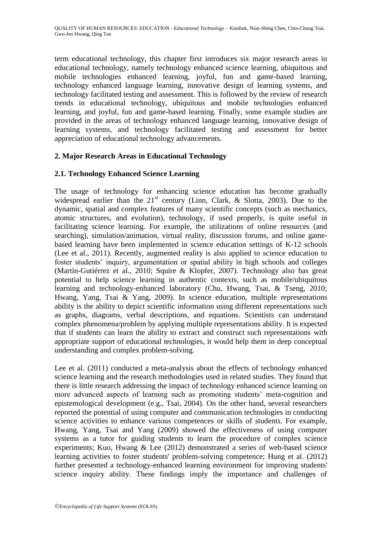term educational technology, this chapter first introduces six major research areas in educational technology, namely technology enhanced science learning, ubiquitous and mobile technologies enhanced learning, joyful, fun and game-based learning, technology enhanced language learning, innovative design of learning systems, and technology facilitated testing and assessment. This is followed by the review of research trends in educational technology, ubiquitous and mobile technologies enhanced learning, and joyful, fun and game-based learning. Finally, some example studies are provided in the areas of technology enhanced language learning, innovative design of learning systems, and technology facilitated testing and assessment for better appreciation of educational technology advancements.

# **2. Major Research Areas in Educational Technology**

# **2.1. Technology Enhanced Science Learning**

The usage of technology for enhancing science education has become gradually widespread earlier than the  $21<sup>st</sup>$  century (Linn, Clark, & Slotta, 2003). Due to the dynamic, spatial and complex features of many scientific concepts (such as mechanics, atomic structures, and evolution), technology, if used properly, is quite useful in facilitating science learning. For example, the utilizations of online resources (and searching), simulation/animation, virtual reality, discussion forums, and online gamebased learning have been implemented in science education settings of K-12 schools (Lee et al., 2011). Recently, augmented reality is also applied to science education to foster students' inquiry, argumentation or spatial ability in high schools and colleges (Martín-Gutiérrez et al., 2010; Squire & Klopfer, 2007). Technology also has great potential to help science learning in authentic contexts, such as mobile/ubiquitous learning and technology-enhanced laboratory (Chu, Hwang, Tsai, & Tseng, 2010; Hwang, Yang, Tsai & Yang, 2009). In science education, multiple representations ability is the ability to depict scientific information using different representations such as graphs, diagrams, verbal descriptions, and equations. Scientists can understand complex phenomena/problem by applying multiple representations ability. It is expected that if students can learn the ability to extract and construct such representations with appropriate support of educational technologies, it would help them in deep conceptual understanding and complex problem-solving.

Lee et al. (2011) conducted a meta-analysis about the effects of technology enhanced science learning and the research methodologies used in related studies. They found that there is little research addressing the impact of technology enhanced science learning on more advanced aspects of learning such as promoting students" meta-cognition and epistemological development (e.g., Tsai, 2004). On the other hand, several researchers reported the potential of using computer and communication technologies in conducting science activities to enhance various competences or skills of students. For example, Hwang, Yang, Tsai and Yang (2009) showed the effectiveness of using computer systems as a tutor for guiding students to learn the procedure of complex science experiments; Kuo, Hwang & Lee (2012) demonstrated a series of web-based science learning activities to foster students' problem-solving competence; Hung et al. (2012) further presented a technology-enhanced learning environment for improving students' science inquiry ability. These findings imply the importance and challenges of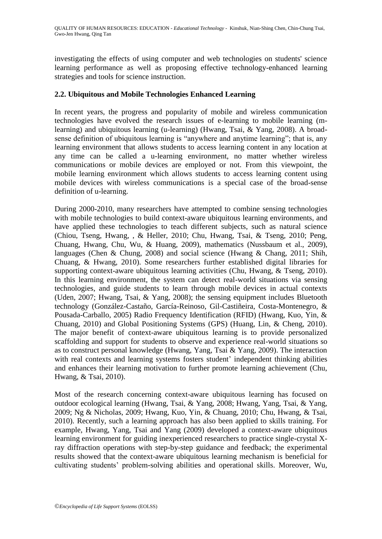investigating the effects of using computer and web technologies on students' science learning performance as well as proposing effective technology-enhanced learning strategies and tools for science instruction.

## **2.2. Ubiquitous and Mobile Technologies Enhanced Learning**

In recent years, the progress and popularity of mobile and wireless communication technologies have evolved the research issues of e-learning to mobile learning (mlearning) and ubiquitous learning (u-learning) (Hwang, Tsai, & Yang, 2008). A broadsense definition of ubiquitous learning is "anywhere and anytime learning"; that is, any learning environment that allows students to access learning content in any location at any time can be called a u-learning environment, no matter whether wireless communications or mobile devices are employed or not. From this viewpoint, the mobile learning environment which allows students to access learning content using mobile devices with wireless communications is a special case of the broad-sense definition of u-learning.

During 2000-2010, many researchers have attempted to combine sensing technologies with mobile technologies to build context-aware ubiquitous learning environments, and have applied these technologies to teach different subjects, such as natural science (Chiou, Tseng, Hwang, , & Heller, 2010; Chu, Hwang, Tsai, & Tseng, 2010; Peng, Chuang, Hwang, Chu, Wu, & Huang, 2009), mathematics (Nussbaum et al., 2009), languages (Chen & Chung, 2008) and social science (Hwang & Chang, 2011; Shih, Chuang, & Hwang, 2010). Some researchers further established digital libraries for supporting context-aware ubiquitous learning activities (Chu, Hwang, & Tseng, 2010). In this learning environment, the system can detect real-world situations via sensing technologies, and guide students to learn through mobile devices in actual contexts (Uden, 2007; Hwang, Tsai, & Yang, 2008); the sensing equipment includes Bluetooth technology (González-Castaño, García-Reinoso, Gil-Castiñeira, Costa-Montenegro, & Pousada-Carballo, 2005) Radio Frequency Identification (RFID) (Hwang, Kuo, Yin, & Chuang, 2010) and Global Positioning Systems (GPS) (Huang, Lin, & Cheng, 2010). The major benefit of context-aware ubiquitous learning is to provide personalized scaffolding and support for students to observe and experience real-world situations so as to construct personal knowledge (Hwang, Yang, Tsai & Yang, 2009). The interaction with real contexts and learning systems fosters student' independent thinking abilities and enhances their learning motivation to further promote learning achievement (Chu, Hwang, & Tsai, 2010).

Most of the research concerning context-aware ubiquitous learning has focused on outdoor ecological learning (Hwang, Tsai, & Yang, 2008; Hwang, Yang, Tsai, & Yang, 2009; Ng & Nicholas, 2009; Hwang, Kuo, Yin, & Chuang, 2010; Chu, Hwang, & Tsai, 2010). Recently, such a learning approach has also been applied to skills training. For example, Hwang, Yang, Tsai and Yang (2009) developed a context-aware ubiquitous learning environment for guiding inexperienced researchers to practice single-crystal Xray diffraction operations with step-by-step guidance and feedback; the experimental results showed that the context-aware ubiquitous learning mechanism is beneficial for cultivating students" problem-solving abilities and operational skills. Moreover, Wu,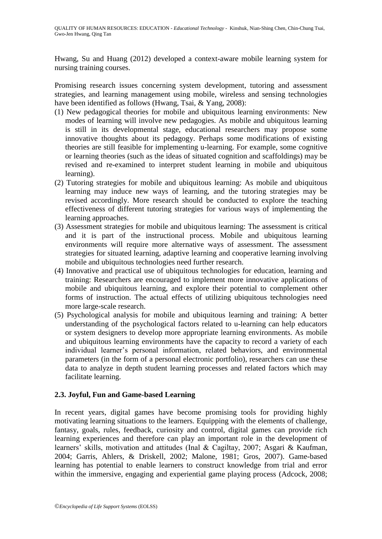Hwang, Su and Huang (2012) developed a context-aware mobile learning system for nursing training courses.

Promising research issues concerning system development, tutoring and assessment strategies, and learning management using mobile, wireless and sensing technologies have been identified as follows (Hwang, Tsai, & Yang, 2008):

- (1) New pedagogical theories for mobile and ubiquitous learning environments: New modes of learning will involve new pedagogies. As mobile and ubiquitous learning is still in its developmental stage, educational researchers may propose some innovative thoughts about its pedagogy. Perhaps some modifications of existing theories are still feasible for implementing u-learning. For example, some cognitive or learning theories (such as the ideas of situated cognition and scaffoldings) may be revised and re-examined to interpret student learning in mobile and ubiquitous learning).
- (2) Tutoring strategies for mobile and ubiquitous learning: As mobile and ubiquitous learning may induce new ways of learning, and the tutoring strategies may be revised accordingly. More research should be conducted to explore the teaching effectiveness of different tutoring strategies for various ways of implementing the learning approaches.
- (3) Assessment strategies for mobile and ubiquitous learning: The assessment is critical and it is part of the instructional process. Mobile and ubiquitous learning environments will require more alternative ways of assessment. The assessment strategies for situated learning, adaptive learning and cooperative learning involving mobile and ubiquitous technologies need further research.
- (4) Innovative and practical use of ubiquitous technologies for education, learning and training: Researchers are encouraged to implement more innovative applications of mobile and ubiquitous learning, and explore their potential to complement other forms of instruction. The actual effects of utilizing ubiquitous technologies need more large-scale research.
- (5) Psychological analysis for mobile and ubiquitous learning and training: A better understanding of the psychological factors related to u-learning can help educators or system designers to develop more appropriate learning environments. As mobile and ubiquitous learning environments have the capacity to record a variety of each individual learner"s personal information, related behaviors, and environmental parameters (in the form of a personal electronic portfolio), researchers can use these data to analyze in depth student learning processes and related factors which may facilitate learning.

# **2.3. Joyful, Fun and Game-based Learning**

In recent years, digital games have become promising tools for providing highly motivating learning situations to the learners. Equipping with the elements of challenge, fantasy, goals, rules, feedback, curiosity and control, digital games can provide rich learning experiences and therefore can play an important role in the development of learners' skills, motivation and attitudes (Inal & Cagiltay, 2007; Asgari & Kaufman, 2004; Garris, Ahlers, & Driskell, 2002; Malone, 1981; Gros, 2007). Game-based learning has potential to enable learners to construct knowledge from trial and error within the immersive, engaging and experiential game playing process (Adcock, 2008;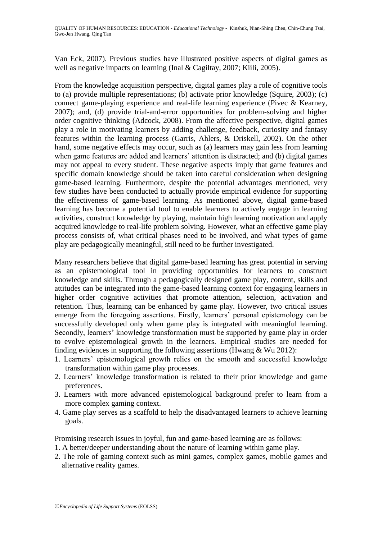Van Eck, 2007). Previous studies have illustrated positive aspects of digital games as well as negative impacts on learning (Inal & Cagiltay, 2007; Kiili, 2005).

From the knowledge acquisition perspective, digital games play a role of cognitive tools to (a) provide multiple representations; (b) activate prior knowledge (Squire, 2003); (c) connect game-playing experience and real-life learning experience (Pivec & Kearney, 2007); and, (d) provide trial-and-error opportunities for problem-solving and higher order cognitive thinking (Adcock, 2008). From the affective perspective, digital games play a role in motivating learners by adding challenge, feedback, curiosity and fantasy features within the learning process (Garris, Ahlers, & Driskell, 2002). On the other hand, some negative effects may occur, such as (a) learners may gain less from learning when game features are added and learners' attention is distracted; and (b) digital games may not appeal to every student. These negative aspects imply that game features and specific domain knowledge should be taken into careful consideration when designing game-based learning. Furthermore, despite the potential advantages mentioned, very few studies have been conducted to actually provide empirical evidence for supporting the effectiveness of game-based learning. As mentioned above, digital game-based learning has become a potential tool to enable learners to actively engage in learning activities, construct knowledge by playing, maintain high learning motivation and apply acquired knowledge to real-life problem solving. However, what an effective game play process consists of, what critical phases need to be involved, and what types of game play are pedagogically meaningful, still need to be further investigated.

Many researchers believe that digital game-based learning has great potential in serving as an epistemological tool in providing opportunities for learners to construct knowledge and skills. Through a pedagogically designed game play, content, skills and attitudes can be integrated into the game-based learning context for engaging learners in higher order cognitive activities that promote attention, selection, activation and retention. Thus, learning can be enhanced by game play. However, two critical issues emerge from the foregoing assertions. Firstly, learners' personal epistemology can be successfully developed only when game play is integrated with meaningful learning. Secondly, learners' knowledge transformation must be supported by game play in order to evolve epistemological growth in the learners. Empirical studies are needed for finding evidences in supporting the following assertions (Hwang & Wu 2012):

- 1. Learners" epistemological growth relies on the smooth and successful knowledge transformation within game play processes.
- 2. Learners" knowledge transformation is related to their prior knowledge and game preferences.
- 3. Learners with more advanced epistemological background prefer to learn from a more complex gaming context.
- 4. Game play serves as a scaffold to help the disadvantaged learners to achieve learning goals.

Promising research issues in joyful, fun and game-based learning are as follows:

- 1. A better/deeper understanding about the nature of learning within game play.
- 2. The role of gaming context such as mini games, complex games, mobile games and alternative reality games.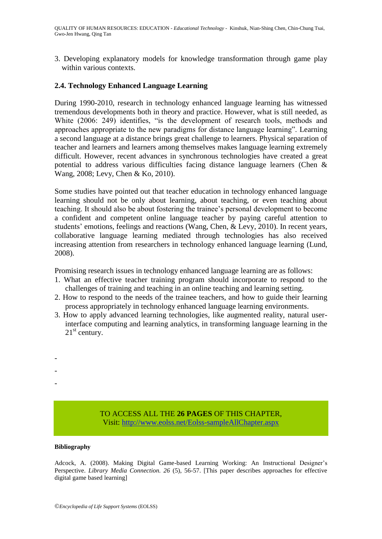3. Developing explanatory models for knowledge transformation through game play within various contexts.

## **2.4. Technology Enhanced Language Learning**

During 1990-2010, research in technology enhanced language learning has witnessed tremendous developments both in theory and practice. However, what is still needed, as White (2006: 249) identifies, "is the development of research tools, methods and approaches appropriate to the new paradigms for distance language learning". Learning a second language at a distance brings great challenge to learners. Physical separation of teacher and learners and learners among themselves makes language learning extremely difficult. However, recent advances in synchronous technologies have created a great potential to address various difficulties facing distance language learners (Chen & Wang, 2008; Levy, Chen & Ko, 2010).

Some studies have pointed out that teacher education in technology enhanced language learning should not be only about learning, about teaching, or even teaching about teaching. It should also be about fostering the trainee"s personal development to become a confident and competent online language teacher by paying careful attention to students' emotions, feelings and reactions (Wang, Chen, & Levy, 2010). In recent years, collaborative language learning mediated through technologies has also received increasing attention from researchers in technology enhanced language learning (Lund, 2008).

Promising research issues in technology enhanced language learning are as follows:

- 1. What an effective teacher training program should incorporate to respond to the challenges of training and teaching in an online teaching and learning setting.
- 2. How to respond to the needs of the trainee teachers, and how to guide their learning process appropriately in technology enhanced language learning environments.
- 3. How to apply advanced learning technologies, like augmented reality, natural userinterface computing and learning analytics, in transforming language learning in the  $21<sup>st</sup>$  century.

TO ACCESS ALL THE **26 PAGES** OF THIS CHAPTER, Visi[t: http://www.eolss.net/Eolss-sampleAllChapter.aspx](https://www.eolss.net/ebooklib/sc_cart.aspx?File=E1-12-33)

#### **Bibliography**

- - -

Adcock, A. (2008). Making Digital Game-based Learning Working: An Instructional Designer"s Perspective. *Library Media Connection. 26* (5), 56-57. [This paper describes approaches for effective digital game based learning]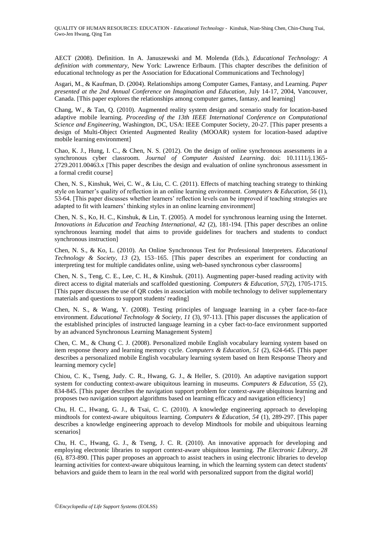AECT (2008). Definition. In A. Januszewski and M. Molenda (Eds.), *Educational Technology: A definition with commentary*, New York: Lawrence Erlbaum. [This chapter describes the definition of educational technology as per the Association for Educational Communications and Technology]

Asgari, M., & Kaufman, D. (2004). Relationships among Computer Games, Fantasy, and Learning. *Paper presented at the 2nd Annual Conference on Imagination and Education*, July 14-17, 2004, Vancouver, Canada. [This paper explores the relationships among computer games, fantasy, and learning]

Chang, W., & Tan, Q. (2010). Augmented reality system design and scenario study for location-based adaptive mobile learning. *Proceeding of the 13th IEEE International Conference on Computational Science and Engineering*, Washington, DC, USA: IEEE Computer Society, 20-27. [This paper presents a design of Multi-Object Oriented Augmented Reality (MOOAR) system for location-based adaptive mobile learning environment]

Chao, K. J., Hung, I. C., & Chen, N. S. (2012). On the design of online synchronous assessments in a synchronous cyber classroom. *Journal of Computer Assisted Learning*. doi: 10.1111/j.1365- 2729.2011.00463.x [This paper describes the design and evaluation of online synchronous assessment in a formal credit course]

Chen, N. S., Kinshuk, Wei, C. W., & Liu, C. C. (2011). Effects of matching teaching strategy to thinking style on learner"s quality of reflection in an online learning environment. *Computers & Education, 56* (1), 53-64. [This paper discusses whether learners" reflection levels can be improved if teaching strategies are adapted to fit with learners' thinking styles in an online learning environment]

Chen, N. S., Ko, H. C., Kinshuk, & Lin, T. (2005). A model for synchronous learning using the Internet. *Innovations in Education and Teaching International, 42* (2), 181-194. [This paper describes an online synchronous learning model that aims to provide guidelines for teachers and students to conduct synchronous instruction]

Chen, N. S., & Ko, L. (2010). An Online Synchronous Test for Professional Interpreters. *Educational Technology & Society, 13* (2), 153–165. [This paper describes an experiment for conducting an interpreting test for multiple candidates online, using web-based synchronous cyber classrooms]

Chen, N. S., Teng, C. E., Lee, C. H., & Kinshuk. (2011). Augmenting paper-based reading activity with direct access to digital materials and scaffolded questioning. *Computers & Education, 57*(2), 1705-1715. [This paper discusses the use of QR codes in association with mobile technology to deliver supplementary materials and questions to support students' reading]

Chen, N. S., & Wang, Y. (2008). Testing principles of language learning in a cyber face-to-face environment. *Educational Technology & Society, 11* (3), 97-113. [This paper discusses the application of the established principles of instructed language learning in a cyber fact-to-face environment supported by an advanced Synchronous Learning Management System]

Chen, C. M., & Chung C. J. (2008). Personalized mobile English vocabulary learning system based on item response theory and learning memory cycle. *Computers & Education, 51* (2), 624-645. [This paper describes a personalized mobile English vocabulary learning system based on Item Response Theory and learning memory cycle]

Chiou, C. K., Tseng, Judy. C. R., Hwang, G. J., & Heller, S. (2010). An adaptive navigation support system for conducting context-aware ubiquitous learning in museums. *Computers & Education, 55* (2), 834-845. [This paper describes the navigation support problem for context-aware ubiquitous learning and proposes two navigation support algorithms based on learning efficacy and navigation efficiency]

Chu, H. C., Hwang, G. J., & Tsai, C. C. (2010). A knowledge engineering approach to developing mindtools for context-aware ubiquitous learning. *Computers & Education, 54* (1), 289-297. [This paper describes a knowledge engineering approach to develop Mindtools for mobile and ubiquitous learning scenarios]

Chu, H. C., Hwang, G. J., & Tseng, J. C. R. (2010). An innovative approach for developing and employing electronic libraries to support context-aware ubiquitous learning. *The Electronic Library, 28* (6), 873-890. [This paper proposes an approach to assist teachers in using electronic libraries to develop learning activities for context-aware ubiquitous learning, in which the learning system can detect students' behaviors and guide them to learn in the real world with personalized support from the digital world]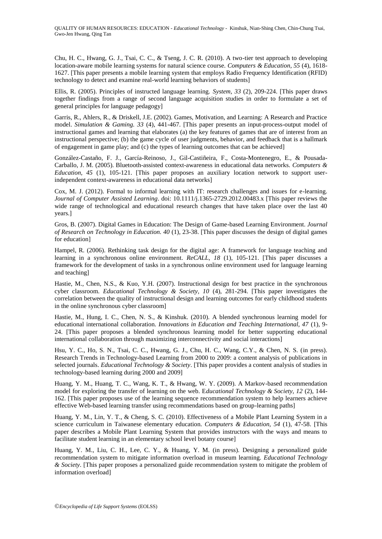Chu, H. C., Hwang, G. J., Tsai, C. C., & Tseng, J. C. R. (2010). A two-tier test approach to developing location-aware mobile learning systems for natural science course. *Computers & Education, 55* (4), 1618- 1627. [This paper presents a mobile learning system that employs Radio Frequency Identification (RFID) technology to detect and examine real-world learning behaviors of students]

Ellis, R. (2005). Principles of instructed language learning. *System, 33* (2), 209-224. [This paper draws together findings from a range of second language acquisition studies in order to formulate a set of general principles for language pedagogy]

Garris, R., Ahlers, R., & Driskell, J.E. (2002). Games, Motivation, and Learning: A Research and Practice model. *Simulation & Gaming. 33* (4), 441-467. [This paper presents an input-process-output model of instructional games and learning that elaborates (a) the key features of games that are of interest from an instructional perspective; (b) the game cycle of user judgments, behavior, and feedback that is a hallmark of engagement in game play; and (c) the types of learning outcomes that can be achieved]

González-Castaño, F. J., García-Reinoso, J., Gil-Castiñeira, F., Costa-Montenegro, E., & Pousada-Carballo, J. M. (2005). Bluetooth-assisted context-awareness in educational data networks. *Computers & Education, 45* (1), 105-121. [This paper proposes an auxiliary location network to support userindependent context-awareness in educational data networks]

Cox, M. J. (2012). Formal to informal learning with IT: research challenges and issues for e-learning. *Journal of Computer Assisted Learning*. doi: 10.1111/j.1365-2729.2012.00483.x [This paper reviews the wide range of technological and educational research changes that have taken place over the last 40 years.]

Gros, B. (2007). Digital Games in Education: The Design of Game-based Learning Environment. *Journal of Research on Technology in Education. 40* (1), 23-38. [This paper discusses the design of digital games for education]

Hampel, R. (2006). Rethinking task design for the digital age: A framework for language teaching and learning in a synchronous online environment. *ReCALL, 18* (1), 105-121. [This paper discusses a framework for the development of tasks in a synchronous online environment used for language learning and teaching]

Hastie, M., Chen, N.S., & Kuo, Y.H. (2007). Instructional design for best practice in the synchronous cyber classroom. *Educational Technology & Society, 10* (4), 281-294. [This paper investigates the correlation between the quality of instructional design and learning outcomes for early childhood students in the online synchronous cyber classroom]

Hastie, M., Hung, I. C., Chen, N. S., & Kinshuk. (2010). A blended synchronous learning model for educational international collaboration. *Innovations in Education and Teaching International, 47* (1), 9- 24. [This paper proposes a blended synchronous learning model for better supporting educational international collaboration through maximizing interconnectivity and social interactions]

Hsu, Y. C., Ho, S. N., Tsai, C. C., Hwang, G. J., Chu, H. C., Wang, C.Y., & Chen, N. S. (in press). Research Trends in Technology-based Learning from 2000 to 2009: a content analysis of publications in selected journals. *Educational Technology & Society*. [This paper provides a content analysis of studies in technology-based learning during 2000 and 2009]

Huang, Y. M., Huang, T. C., Wang, K. T., & Hwang, W. Y. (2009). A Markov-based recommendation model for exploring the transfer of learning on the web. E*ducational Technology & Society, 12* (2), 144- 162. [This paper proposes use of the learning sequence recommendation system to help learners achieve effective Web-based learning transfer using recommendations based on group-learning paths]

Huang, Y. M., Lin, Y. T., & Cheng, S. C. (2010). Effectiveness of a Mobile Plant Learning System in a science curriculum in Taiwanese elementary education. *Computers & Education, 54* (1), 47-58. [This paper describes a Mobile Plant Learning System that provides instructors with the ways and means to facilitate student learning in an elementary school level botany course]

Huang, Y. M., Liu, C. H., Lee, C. Y., & Huang, Y. M. (in press). Designing a personalized guide recommendation system to mitigate information overload in museum learning. *Educational Technology & Society*. [This paper proposes a personalized guide recommendation system to mitigate the problem of information overload]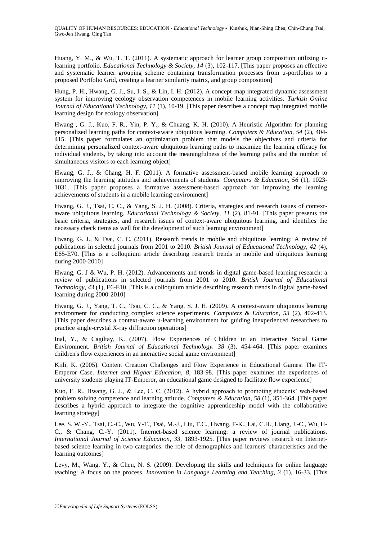Huang, Y. M., & Wu, T. T. (2011). A systematic approach for learner group composition utilizing ulearning portfolio. *Educational Technology & Society, 14* (3), 102-117. [This paper proposes an effective and systematic learner grouping scheme containing transformation processes from u-portfolios to a proposed Portfolio Grid, creating a learner similarity matrix, and group composition]

Hung, P. H., Hwang, G. J., Su, I. S., & Lin, I. H. (2012). A concept-map integrated dynamic assessment system for improving ecology observation competences in mobile learning activities. *Turkish Online Journal of Educational Technology, 11* (1), 10-19. [This paper describes a concept map integrated mobile learning design for ecology observation]

Hwang , G. J., Kuo, F. R., Yin, P. Y., & Chuang, K. H. (2010). A Heuristic Algorithm for planning personalized learning paths for context-aware ubiquitous learning. *Computers & Education, 54* (2), 404- 415. [This paper formulates an optimization problem that models the objectives and criteria for determining personalized context-aware ubiquitous learning paths to maximize the learning efficacy for individual students, by taking into account the meaningfulness of the learning paths and the number of simultaneous visitors to each learning object]

Hwang, G. J., & Chang, H. F. (2011). A formative assessment-based mobile learning approach to improving the learning attitudes and achievements of students. *Computers & Education, 56* (1), 1023- 1031. [This paper proposes a formative assessment-based approach for improving the learning achievements of students in a mobile learning environment]

Hwang, G. J., Tsai, C. C., & Yang, S. J. H. (2008). Criteria, strategies and research issues of contextaware ubiquitous learning. *Educational Technology & Society, 11* (2), 81-91. [This paper presents the basic criteria, strategies, and research issues of context-aware ubiquitous learning, and identifies the necessary check items as well for the development of such learning environment]

Hwang, G. J., & Tsai, C. C. (2011). Research trends in mobile and ubiquitous learning: A review of publications in selected journals from 2001 to 2010. *British Journal of Educational Technology, 42* (4), E65-E70. [This is a colloquium article describing research trends in mobile and ubiquitous learning during 2000-2010]

Hwang, G. J & Wu, P. H. (2012). Advancements and trends in digital game-based learning research: a review of publications in selected journals from 2001 to 2010. *British Journal of Educational Technology, 43* (1), E6-E10. [This is a colloquium article describing research trends in digital game-based learning during 2000-2010]

Hwang, G. J., Yang, T. C., Tsai, C. C., & Yang, S. J. H. (2009). A context-aware ubiquitous learning environment for conducting complex science experiments. *Computers & Education, 53* (2), 402-413. [This paper describes a context-aware u-learning environment for guiding inexperienced researchers to practice single-crystal X-ray diffraction operations]

Inal, Y., & Cagiltay, K. (2007). Flow Experiences of Children in an Interactive Social Game Environment. *British Journal of Educational Technology. 38* (3), 454-464. [This paper examines children's flow experiences in an interactive social game environment]

Kiili, K. (2005). Content Creation Challenges and Flow Experience in Educational Games: The IT-Emperor Case. *Internet and Higher Education, 8*, 183-98. [This paper examines the experiences of university students playing IT-Emperor, an educational game designed to facilitate flow experience]

Kuo, F. R., Hwang, G. J., & Lee, C. C. (2012). A hybrid approach to promoting students" web-based problem solving competence and learning attitude*. Computers & Education, 58* (1), 351-364. [This paper describes a hybrid approach to integrate the cognitive apprenticeship model with the collaborative learning strategy]

Lee, S. W.-Y., Tsai, C.-C., Wu, Y-T., Tsai, M.-J., Liu, T.C., Hwang, F-K., Lai, C.H., Liang, J.-C., Wu, H-C., & Chang, C.-Y. (2011). Internet-based science learning: a review of journal publications. *International Journal of Science Education, 33,* 1893-1925*.* [This paper reviews research on Internetbased science learning in two categories: the role of demographics and learners' characteristics and the learning outcomes]

Levy, M., Wang, Y., & Chen, N. S. (2009). Developing the skills and techniques for online language teaching: A focus on the process. *Innovation in Language Learning and Teaching, 3* (1), 16-33. [This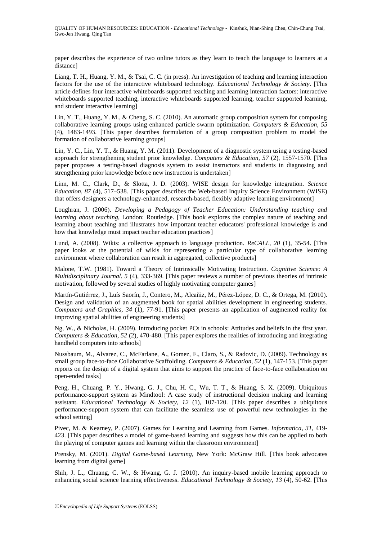QUALITY OF HUMAN RESOURCES: EDUCATION - *Educational Technology* - Kinshuk, Nian-Shing Chen, Chin-Chung Tsai, Gwo-Jen Hwang, Qing Tan

paper describes the experience of two online tutors as they learn to teach the language to learners at a distance]

Liang, T. H., Huang, Y. M., & Tsai, C. C. (in press). An investigation of teaching and learning interaction factors for the use of the interactive whiteboard technology. *Educational Technology & Society*. [This article defines four interactive whiteboards supported teaching and learning interaction factors: interactive whiteboards supported teaching, interactive whiteboards supported learning, teacher supported learning, and student interactive learning]

Lin, Y. T., Huang, Y. M., & Cheng, S. C. (2010). An automatic group composition system for composing collaborative learning groups using enhanced particle swarm optimization. *Computers & Education, 55* (4), 1483-1493. [This paper describes formulation of a group composition problem to model the formation of collaborative learning groups]

Lin, Y. C., Lin, Y. T., & Huang, Y. M. (2011). Development of a diagnostic system using a testing-based approach for strengthening student prior knowledge. *Computers & Education, 57* (2), 1557-1570. [This paper proposes a testing-based diagnosis system to assist instructors and students in diagnosing and strengthening prior knowledge before new instruction is undertaken]

Linn, M. C., Clark, D., & Slotta, J. D. (2003). WISE design for knowledge integration. *Science Education, 87* (4), 517–538. [This paper describes the Web-based Inquiry Science Environment (WISE) that offers designers a technology-enhanced, research-based, flexibly adaptive learning environment]

Loughran, J. (2006). *Developing a Pedagogy of Teacher Education: Understanding teaching and learning about teaching*, London: Routledge. [This book explores the complex nature of teaching and learning about teaching and illustrates how important teacher educators' professional knowledge is and how that knowledge must impact teacher education practices]

Lund, A. (2008). Wikis: a collective approach to language production. *ReCALL, 20* (1), 35-54. [This paper looks at the potential of wikis for representing a particular type of collaborative learning environment where collaboration can result in aggregated, collective products]

Malone, T.W. (1981). Toward a Theory of Intrinsically Motivating Instruction. *Cognitive Science: A Multidisciplinary Journal. 5* (4), 333-369. [This paper reviews a number of previous theories of intrinsic motivation, followed by several studies of highly motivating computer games]

Martín-Gutiérrez, J., Luís Saorín, J., Contero, M., Alcañiz, M., Pérez-López, D. C., & Ortega, M. (2010). Design and validation of an augmented book for spatial abilities development in engineering students. *Computers and Graphics, 34* (1), 77-91. [This paper presents an application of augmented reality for improving spatial abilities of engineering students]

Ng, W., & Nicholas, H. (2009). Introducing pocket PCs in schools: Attitudes and beliefs in the first year. *Computers & Education, 52* (2), 470-480. [This paper explores the realities of introducing and integrating handheld computers into schools]

Nussbaum, M., Alvarez, C., McFarlane, A., Gomez, F., Claro, S., & Radovic, D. (2009). Technology as small group face-to-face Collaborative Scaffolding. *Computers & Education, 52* (1), 147-153. [This paper reports on the design of a digital system that aims to support the practice of face-to-face collaboration on open-ended tasks]

Peng, H., Chuang, P. Y., Hwang, G. J., Chu, H. C., Wu, T. T., & Huang, S. X. (2009). Ubiquitous performance-support system as Mindtool: A case study of instructional decision making and learning assistant. *Educational Technology & Society, 12* (1), 107-120. [This paper describes a ubiquitous performance-support system that can facilitate the seamless use of powerful new technologies in the school setting]

Pivec, M. & Kearney, P. (2007). Games for Learning and Learning from Games. *Informatica, 31*, 419- 423. [This paper describes a model of game-based learning and suggests how this can be applied to both the playing of computer games and learning within the classroom environment]

Prensky, M. (2001). *Digital Game-based Learning*, New York: McGraw Hill. [This book advocates learning from digital game]

Shih, J. L., Chuang, C. W., & Hwang, G. J. (2010). An inquiry-based mobile learning approach to enhancing social science learning effectiveness. *Educational Technology & Society, 13* (4), 50-62. [This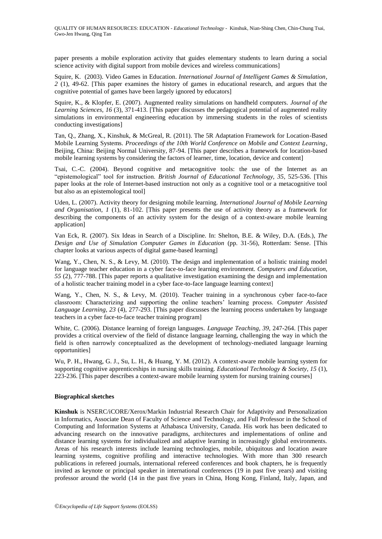paper presents a mobile exploration activity that guides elementary students to learn during a social science activity with digital support from mobile devices and wireless communications]

Squire, K. (2003). Video Games in Education. *International Journal of Intelligent Games & Simulation, 2* (1), 49-62. [This paper examines the history of games in educational research, and argues that the cognitive potential of games have been largely ignored by educators]

Squire, K., & Klopfer, E. (2007). Augmented reality simulations on handheld computers. *Journal of the Learning Sciences, 16* (3), 371-413. [This paper discusses the pedagogical potential of augmented reality simulations in environmental engineering education by immersing students in the roles of scientists conducting investigations]

Tan, Q., Zhang, X., Kinshuk, & McGreal, R. (2011). The 5R Adaptation Framework for Location-Based Mobile Learning Systems. *Proceedings of the 10th World Conference on Mobile and Context Learning*, Beijing, China: Beijing Normal University, 87-94. [This paper describes a framework for location-based mobile learning systems by considering the factors of learner, time, location, device and content]

Tsai, C.-C. (2004). Beyond cognitive and metacognitive tools: the use of the Internet as an "epistemological" tool for instruction. *British Journal of Educational Technology, 35*, 525-536. [This paper looks at the role of Internet-based instruction not only as a cognitive tool or a metacognitive tool but also as an epistemological tool]

Uden, L. (2007). Activity theory for designing mobile learning. *International Journal of Mobile Learning and Organisation, 1* (1), 81-102. [This paper presents the use of activity theory as a framework for describing the components of an activity system for the design of a context-aware mobile learning application]

Van Eck, R. (2007). Six Ideas in Search of a Discipline. In: Shelton, B.E. & Wiley, D.A. (Eds.), *The Design and Use of Simulation Computer Games in Education* (pp. 31-56), Rotterdam: Sense. [This chapter looks at various aspects of digital game-based learning]

Wang, Y., Chen, N. S., & Levy, M. (2010). The design and implementation of a holistic training model for language teacher education in a cyber face-to-face learning environment. *Computers and Education, 55* (2), 777-788. [This paper reports a qualitative investigation examining the design and implementation of a holistic teacher training model in a cyber face-to-face language learning context]

Wang, Y., Chen, N. S., & Levy, M. (2010). Teacher training in a synchronous cyber face-to-face classroom: Characterizing and supporting the online teachers" learning process. *Computer Assisted Language Learning, 23* (4), 277-293. [This paper discusses the learning process undertaken by language teachers in a cyber face-to-face teacher training program]

White, C. (2006). Distance learning of foreign languages. *Language Teaching, 39*, 247-264. [This paper provides a critical overview of the field of distance language learning, challenging the way in which the field is often narrowly conceptualized as the development of technology-mediated language learning opportunities]

Wu, P. H., Hwang, G. J., Su, L. H., & Huang, Y. M. (2012). A context-aware mobile learning system for supporting cognitive apprenticeships in nursing skills training. *Educational Technology & Society, 15* (1), 223-236. [This paper describes a context-aware mobile learning system for nursing training courses]

#### **Biographical sketches**

**Kinshuk** is NSERC/iCORE/Xerox/Markin Industrial Research Chair for Adaptivity and Personalization in Informatics, Associate Dean of Faculty of Science and Technology, and Full Professor in the School of Computing and Information Systems at Athabasca University, Canada. His work has been dedicated to advancing research on the innovative paradigms, architectures and implementations of online and distance learning systems for individualized and adaptive learning in increasingly global environments. Areas of his research interests include learning technologies, mobile, ubiquitous and location aware learning systems, cognitive profiling and interactive technologies. With more than 300 research publications in refereed journals, international refereed conferences and book chapters, he is frequently invited as keynote or principal speaker in international conferences (19 in past five years) and visiting professor around the world (14 in the past five years in China, Hong Kong, Finland, Italy, Japan, and